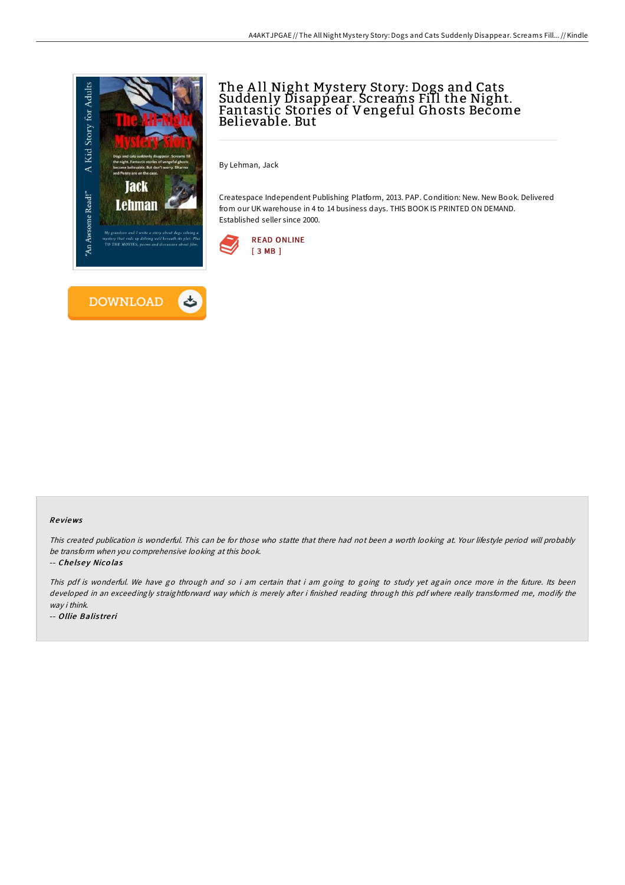

# The A ll Night Mystery Story: Dogs and Cats Suddenly Disappear. Screams Fill the Night. Fantastic Stories of Vengeful Ghosts Become Believable. But

By Lehman, Jack

Createspace Independent Publishing Platform, 2013. PAP. Condition: New. New Book. Delivered from our UK warehouse in 4 to 14 business days. THIS BOOK IS PRINTED ON DEMAND. Established seller since 2000.



### Re views

This created publication is wonderful. This can be for those who statte that there had not been <sup>a</sup> worth looking at. Your lifestyle period will probably be transform when you comprehensive looking at this book.

### -- Chelsey Nicolas

This pdf is wonderful. We have go through and so i am certain that i am going to going to study yet again once more in the future. Its been developed in an exceedingly straightforward way which is merely after i finished reading through this pdf where really transformed me, modify the way i think.

-- Ollie Balistreri